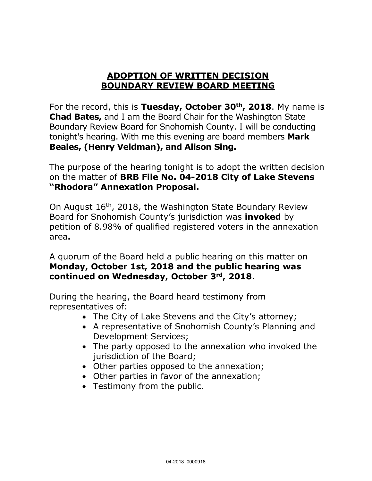#### **ADOPTION OF WRITTEN DECISION BOUNDARY REVIEW BOARD MEETING**

For the record, this is **Tuesday, October 30th, 2018**. My name is **Chad Bates,** and I am the Board Chair for the Washington State Boundary Review Board for Snohomish County. I will be conducting tonight's hearing. With me this evening are board members **Mark Beales, (Henry Veldman), and Alison Sing.**

The purpose of the hearing tonight is to adopt the written decision on the matter of **BRB File No. 04-2018 City of Lake Stevens "Rhodora" Annexation Proposal.**

On August 16th, 2018, the Washington State Boundary Review Board for Snohomish County's jurisdiction was **invoked** by petition of 8.98% of qualified registered voters in the annexation area**.**

A quorum of the Board held a public hearing on this matter on **Monday, October 1st, 2018 and the public hearing was continued on Wednesday, October 3rd, 2018**.

During the hearing, the Board heard testimony from representatives of:

- The City of Lake Stevens and the City's attorney;
- A representative of Snohomish County's Planning and Development Services;
- The party opposed to the annexation who invoked the jurisdiction of the Board;
- Other parties opposed to the annexation;
- Other parties in favor of the annexation;
- Testimony from the public.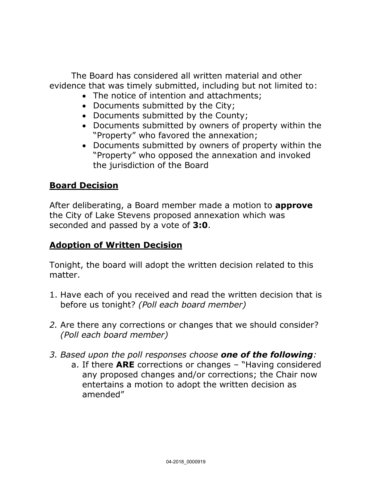The Board has considered all written material and other evidence that was timely submitted, including but not limited to:

- The notice of intention and attachments;
- Documents submitted by the City;
- Documents submitted by the County;
- Documents submitted by owners of property within the "Property" who favored the annexation;
- Documents submitted by owners of property within the "Property" who opposed the annexation and invoked the jurisdiction of the Board

# **Board Decision**

After deliberating, a Board member made a motion to **approve** the City of Lake Stevens proposed annexation which was seconded and passed by a vote of **3:0**.

### **Adoption of Written Decision**

Tonight, the board will adopt the written decision related to this matter.

- 1. Have each of you received and read the written decision that is before us tonight? *(Poll each board member)*
- *2.* Are there any corrections or changes that we should consider? *(Poll each board member)*
- *3. Based upon the poll responses choose one of the following:* 
	- a. If there **ARE** corrections or changes "Having considered any proposed changes and/or corrections; the Chair now entertains a motion to adopt the written decision as amended"